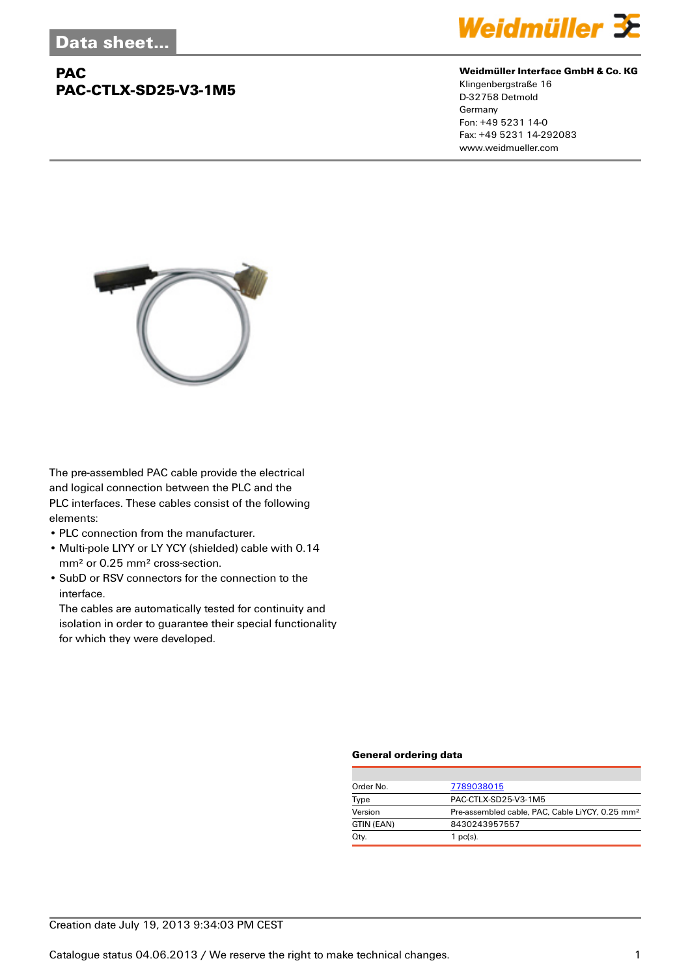## **PAC PAC-CTLX-SD25-V3-1M5**



#### **Weidmüller Interface GmbH & Co. KG**

Klingenbergstraße 16 D-32758 Detmold Germany Fon: +49 5231 14-0 Fax: +49 5231 14-292083 www.weidmueller.com



The pre-assembled PAC cable provide the electrical and logical connection between the PLC and the PLC interfaces. These cables consist of the following elements:

- PLC connection from the manufacturer.
- Multi-pole LIYY or LY YCY (shielded) cable with 0.14 mm² or 0.25 mm² cross-section.
- SubD or RSV connectors for the connection to the interface.

The cables are automatically tested for continuity and isolation in order to guarantee their special functionality for which they were developed.

#### **General ordering data**

| Order No.  | 7789038015                                                  |  |  |
|------------|-------------------------------------------------------------|--|--|
| Type       | PAC-CTLX-SD25-V3-1M5                                        |  |  |
| Version    | Pre-assembled cable, PAC, Cable LiYCY, 0.25 mm <sup>2</sup> |  |  |
| GTIN (EAN) | 8430243957557                                               |  |  |
| Qty.       | 1 $pc(s)$ .                                                 |  |  |